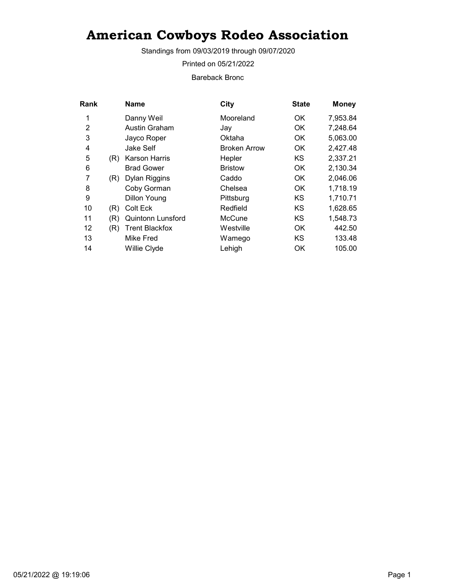Standings from 09/03/2019 through 09/07/2020

Printed on 05/21/2022

Bareback Bronc

| Rank |     | <b>Name</b>              | City                | <b>State</b> | <b>Money</b> |
|------|-----|--------------------------|---------------------|--------------|--------------|
| 1    |     | Danny Weil               | Mooreland           | 0K           | 7,953.84     |
| 2    |     | Austin Graham            | Jay                 | OK           | 7,248.64     |
| 3    |     | Jayco Roper              | Oktaha              | OK           | 5,063.00     |
| 4    |     | Jake Self                | <b>Broken Arrow</b> | 0K           | 2,427.48     |
| 5    | (R) | Karson Harris            | Hepler              | KS           | 2,337.21     |
| 6    |     | <b>Brad Gower</b>        | <b>Bristow</b>      | 0K           | 2,130.34     |
| 7    | (R) | Dylan Riggins            | Caddo               | OK.          | 2,046.06     |
| 8    |     | Coby Gorman              | Chelsea             | OK.          | 1,718.19     |
| 9    |     | Dillon Young             | Pittsburg           | KS           | 1,710.71     |
| 10   | (R) | Colt Eck                 | Redfield            | KS           | 1,628.65     |
| 11   | (R) | <b>Quintonn Lunsford</b> | McCune              | KS           | 1,548.73     |
| 12   | (R) | <b>Trent Blackfox</b>    | Westville           | 0K           | 442.50       |
| 13   |     | Mike Fred                | Wamego              | ΚS           | 133.48       |
| 14   |     | Willie Clyde             | Lehigh              | OK           | 105.00       |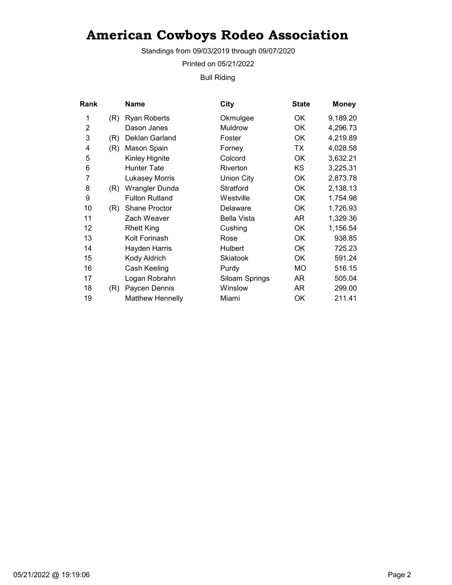Standings from 09/03/2019 through 09/07/2020

Printed on 05/21/2022

Bull Riding

| Rank           |     | Name                    | City                  | <b>State</b> | <b>Money</b> |
|----------------|-----|-------------------------|-----------------------|--------------|--------------|
| 1              | (R) | <b>Ryan Roberts</b>     | Okmulgee              | OK           | 9,189.20     |
| $\overline{2}$ |     | Dason Janes             | Muldrow               | OK           | 4,296.73     |
| 3              | (R) | Deklan Garland          | Foster                | OK           | 4,219.89     |
| 4              | (R) | Mason Spain             | Forney                | ТX           | 4,028.58     |
| 5              |     | Kinley Hignite          | Colcord               | OK           | 3,632.21     |
| 6              |     | Hunter Tate             | Riverton              | KS           | 3,225.31     |
| 7              |     | <b>Lukasey Morris</b>   | Union City            | OK           | 2,873.78     |
| 8              | (R) | Wrangler Dunda          | Stratford             | OK           | 2,138.13     |
| 9              |     | <b>Fulton Rutland</b>   | Westville             | <b>OK</b>    | 1,754.98     |
| 10             | (R) | <b>Shane Proctor</b>    | Delaware              | 0K           | 1,726.93     |
| 11             |     | Zach Weaver             | Bella Vista           | AR           | 1,329.36     |
| 12             |     | <b>Rhett King</b>       | Cushing               | OK           | 1,156.54     |
| 13             |     | Kolt Forinash           | Rose                  | OK           | 938.85       |
| 14             |     | Hayden Harris           | <b>Hulbert</b>        | OK           | 725.23       |
| 15             |     | Kody Aldrich            | <b>Skiatook</b>       | OK           | 591.24       |
| 16             |     | Cash Keeling            | Purdy                 | МO           | 516.15       |
| 17             |     | Logan Robrahn           | <b>Siloam Springs</b> | AR           | 505.04       |
| 18             | (R) | Paycen Dennis           | Winslow               | AR           | 299.00       |
| 19             |     | <b>Matthew Hennelly</b> | Miami                 | OK           | 211.41       |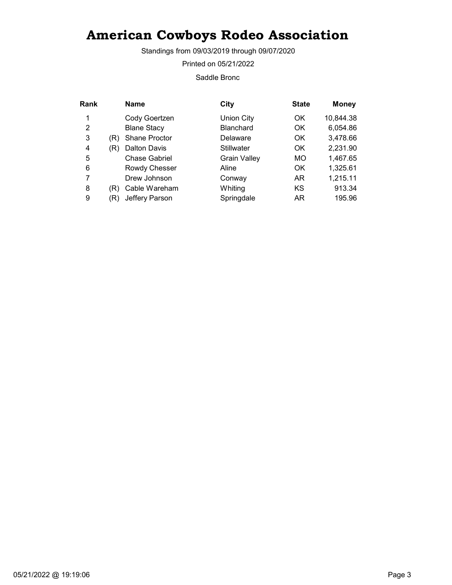Standings from 09/03/2019 through 09/07/2020

Printed on 05/21/2022

Saddle Bronc

| Rank |     | <b>Name</b>          | City                | <b>State</b> | <b>Money</b> |
|------|-----|----------------------|---------------------|--------------|--------------|
| 1    |     | Cody Goertzen        | <b>Union City</b>   | OK           | 10,844.38    |
| 2    |     | <b>Blane Stacy</b>   | <b>Blanchard</b>    | OK           | 6,054.86     |
| 3    | (R) | <b>Shane Proctor</b> | Delaware            | <b>OK</b>    | 3,478.66     |
| 4    | (R) | <b>Dalton Davis</b>  | Stillwater          | OK.          | 2,231.90     |
| 5    |     | <b>Chase Gabriel</b> | <b>Grain Valley</b> | <b>MO</b>    | 1,467.65     |
| 6    |     | Rowdy Chesser        | Aline               | <b>OK</b>    | 1,325.61     |
| 7    |     | Drew Johnson         | Conway              | AR           | 1,215.11     |
| 8    | (R) | Cable Wareham        | Whiting             | KS           | 913.34       |
| 9    | 'R) | Jeffery Parson       | Springdale          | AR           | 195.96       |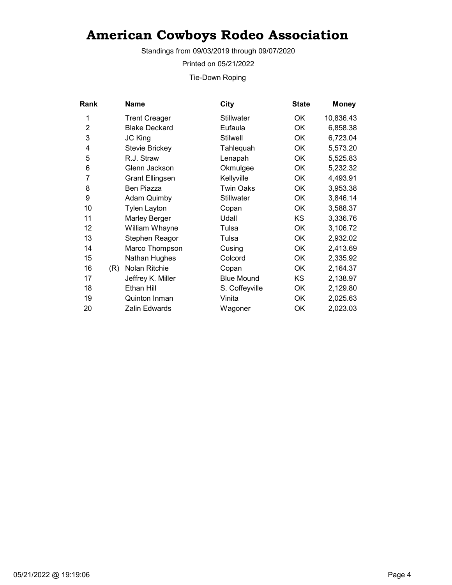Standings from 09/03/2019 through 09/07/2020

Printed on 05/21/2022

Tie-Down Roping

| Rank           |     | <b>Name</b>            | City              | <b>State</b> | <b>Money</b> |
|----------------|-----|------------------------|-------------------|--------------|--------------|
| 1              |     | <b>Trent Creager</b>   | <b>Stillwater</b> | OK           | 10,836.43    |
| $\overline{2}$ |     | <b>Blake Deckard</b>   | Eufaula           | <b>OK</b>    | 6,858.38     |
| 3              |     | JC King                | <b>Stilwell</b>   | OK           | 6,723.04     |
| 4              |     | Stevie Brickey         | Tahlequah         | OK           | 5,573.20     |
| 5              |     | R.J. Straw             | Lenapah           | OK           | 5,525.83     |
| 6              |     | Glenn Jackson          | Okmulgee          | OK           | 5,232.32     |
| 7              |     | <b>Grant Ellingsen</b> | Kellyville        | OK           | 4,493.91     |
| 8              |     | Ben Piazza             | <b>Twin Oaks</b>  | OK           | 3,953.38     |
| 9              |     | <b>Adam Quimby</b>     | Stillwater        | OK           | 3,846.14     |
| 10             |     | <b>Tylen Layton</b>    | Copan             | OK           | 3,588.37     |
| 11             |     | <b>Marley Berger</b>   | Udall             | KS           | 3,336.76     |
| 12             |     | William Whayne         | Tulsa             | OK           | 3,106.72     |
| 13             |     | Stephen Reagor         | Tulsa             | OK           | 2,932.02     |
| 14             |     | Marco Thompson         | Cusing            | OK           | 2,413.69     |
| 15             |     | Nathan Hughes          | Colcord           | OK           | 2,335.92     |
| 16             | (R) | Nolan Ritchie          | Copan             | OK           | 2,164.37     |
| 17             |     | Jeffrey K. Miller      | <b>Blue Mound</b> | <b>KS</b>    | 2,138.97     |
| 18             |     | Ethan Hill             | S. Coffeyville    | OK           | 2,129.80     |
| 19             |     | Quinton Inman          | Vinita            | OK           | 2,025.63     |
| 20             |     | Zalin Edwards          | Wagoner           | OK           | 2,023.03     |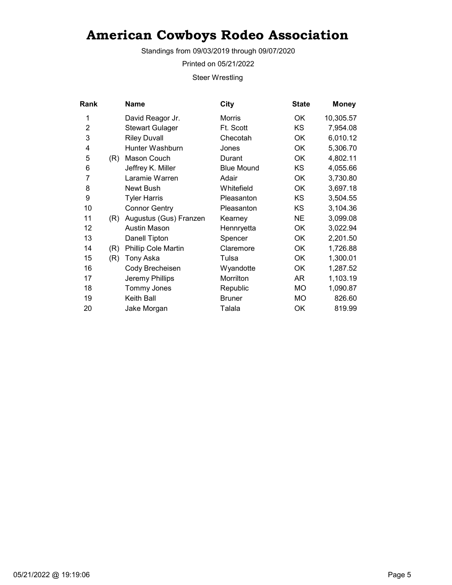Standings from 09/03/2019 through 09/07/2020

Printed on 05/21/2022

Steer Wrestling

| Rank           |     | Name                   | City              | <b>State</b> | <b>Money</b> |
|----------------|-----|------------------------|-------------------|--------------|--------------|
| 1              |     | David Reagor Jr.       | <b>Morris</b>     | OK           | 10,305.57    |
| $\overline{2}$ |     | <b>Stewart Gulager</b> | Ft. Scott         | KS           | 7,954.08     |
| 3              |     | <b>Riley Duvall</b>    | Checotah          | OK           | 6,010.12     |
| 4              |     | Hunter Washburn        | Jones             | OK           | 5,306.70     |
| 5              | (R) | Mason Couch            | Durant            | 0K           | 4,802.11     |
| 6              |     | Jeffrey K. Miller      | <b>Blue Mound</b> | <b>KS</b>    | 4,055.66     |
| 7              |     | Laramie Warren         | Adair             | OK           | 3,730.80     |
| 8              |     | Newt Bush              | Whitefield        | OK           | 3,697.18     |
| 9              |     | <b>Tyler Harris</b>    | Pleasanton        | KS.          | 3,504.55     |
| 10             |     | <b>Connor Gentry</b>   | Pleasanton        | KS           | 3,104.36     |
| 11             | (R) | Augustus (Gus) Franzen | Kearney           | <b>NE</b>    | 3,099.08     |
| 12             |     | <b>Austin Mason</b>    | Hennryetta        | OK           | 3,022.94     |
| 13             |     | Danell Tipton          | Spencer           | OK           | 2,201.50     |
| 14             | (R) | Phillip Cole Martin    | Claremore         | OK           | 1,726.88     |
| 15             | (R) | Tony Aska              | Tulsa             | 0K           | 1,300.01     |
| 16             |     | Cody Brecheisen        | Wyandotte         | OK           | 1,287.52     |
| 17             |     | Jeremy Phillips        | Morrilton         | AR           | 1,103.19     |
| 18             |     | Tommy Jones            | Republic          | MO           | 1,090.87     |
| 19             |     | Keith Ball             | <b>Bruner</b>     | MO           | 826.60       |
| 20             |     | Jake Morgan            | Talala            | OK           | 819.99       |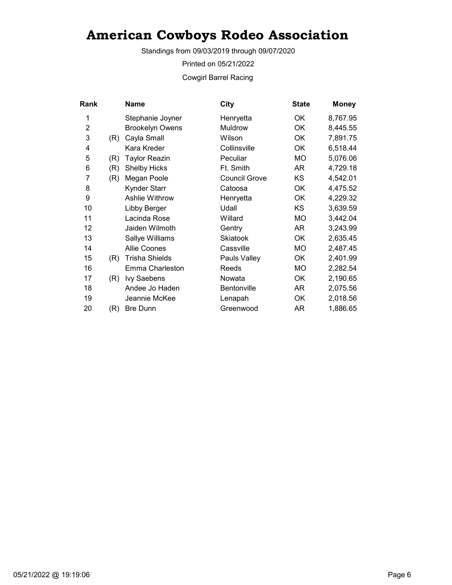Standings from 09/03/2019 through 09/07/2020

Printed on 05/21/2022

Cowgirl Barrel Racing

| Rank           |     | Name                   | City                 | <b>State</b> | <b>Money</b> |
|----------------|-----|------------------------|----------------------|--------------|--------------|
| 1              |     | Stephanie Joyner       | Henryetta            | OK           | 8,767.95     |
| $\overline{2}$ |     | <b>Brookelyn Owens</b> | <b>Muldrow</b>       | <b>OK</b>    | 8,445.55     |
| 3              | (R) | Cayla Small            | Wilson               | OK           | 7,891.75     |
| 4              |     | Kara Kreder            | Collinsville         | ОK           | 6,518.44     |
| 5              | (R) | Taylor Reazin          | Peculiar             | МO           | 5,076.06     |
| 6              | (R) | <b>Shelby Hicks</b>    | Ft. Smith            | AR           | 4,729.18     |
| 7              | (R) | Megan Poole            | <b>Council Grove</b> | KS           | 4,542.01     |
| 8              |     | <b>Kynder Starr</b>    | Catoosa              | <b>OK</b>    | 4,475.52     |
| 9              |     | <b>Ashlie Withrow</b>  | Henryetta            | OK           | 4,229.32     |
| 10             |     | Libby Berger           | Udall                | <b>KS</b>    | 3,639.59     |
| 11             |     | Lacinda Rose           | Willard              | MO           | 3,442.04     |
| 12             |     | Jaiden Wilmoth         | Gentry               | AR           | 3,243.99     |
| 13             |     | Sallye Williams        | <b>Skiatook</b>      | ОK           | 2,635.45     |
| 14             |     | <b>Allie Coones</b>    | Cassville            | МO           | 2,487.45     |
| 15             | (R) | <b>Trisha Shields</b>  | Pauls Valley         | OK           | 2,401.99     |
| 16             |     | Emma Charleston        | Reeds                | МO           | 2,282.54     |
| 17             | (R) | Ivy Saebens            | Nowata               | <b>OK</b>    | 2,190.65     |
| 18             |     | Andee Jo Haden         | <b>Bentonville</b>   | AR           | 2,075.56     |
| 19             |     | Jeannie McKee          | Lenapah              | OK           | 2,018.56     |
| 20             | (R) | <b>Bre Dunn</b>        | Greenwood            | AR           | 1,886.65     |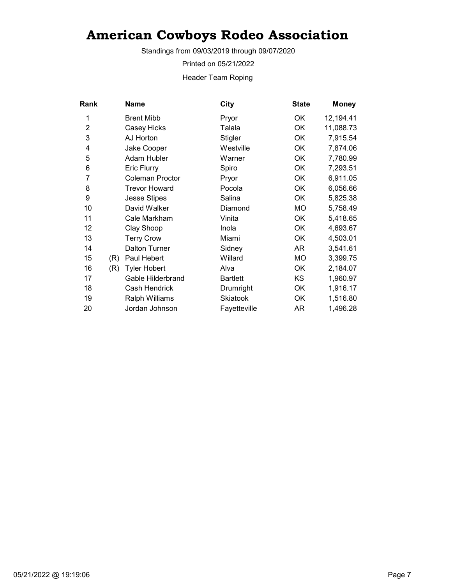Standings from 09/03/2019 through 09/07/2020

Printed on 05/21/2022

Header Team Roping

| <b>Rank</b>    |     | Name                   | City            | <b>State</b> | <b>Money</b> |
|----------------|-----|------------------------|-----------------|--------------|--------------|
| 1              |     | <b>Brent Mibb</b>      | Pryor           | OK.          | 12,194.41    |
| $\overline{2}$ |     | Casey Hicks            | Talala          | <b>OK</b>    | 11,088.73    |
| 3              |     | AJ Horton              | Stigler         | <b>OK</b>    | 7,915.54     |
| 4              |     | Jake Cooper            | Westville       | OK           | 7,874.06     |
| 5              |     | Adam Hubler            | Warner          | OK           | 7,780.99     |
| 6              |     | Eric Flurry            | Spiro           | OK           | 7,293.51     |
| 7              |     | <b>Coleman Proctor</b> | Pryor           | OK           | 6,911.05     |
| 8              |     | <b>Trevor Howard</b>   | Pocola          | OK           | 6,056.66     |
| 9              |     | <b>Jesse Stipes</b>    | Salina          | OK           | 5,825.38     |
| 10             |     | David Walker           | Diamond         | <b>MO</b>    | 5,758.49     |
| 11             |     | Cale Markham           | Vinita          | OK           | 5,418.65     |
| 12             |     | Clay Shoop             | Inola           | <b>OK</b>    | 4,693.67     |
| 13             |     | <b>Terry Crow</b>      | Miami           | OK           | 4,503.01     |
| 14             |     | <b>Dalton Turner</b>   | Sidney          | AR           | 3,541.61     |
| 15             | (R) | Paul Hebert            | Willard         | MO           | 3,399.75     |
| 16             | (R) | <b>Tyler Hobert</b>    | Alva            | OK           | 2,184.07     |
| 17             |     | Gable Hilderbrand      | <b>Bartlett</b> | KS           | 1,960.97     |
| 18             |     | Cash Hendrick          | Drumright       | OK           | 1,916.17     |
| 19             |     | Ralph Williams         | Skiatook        | OK           | 1,516.80     |
| 20             |     | Jordan Johnson         | Fayetteville    | AR           | 1,496.28     |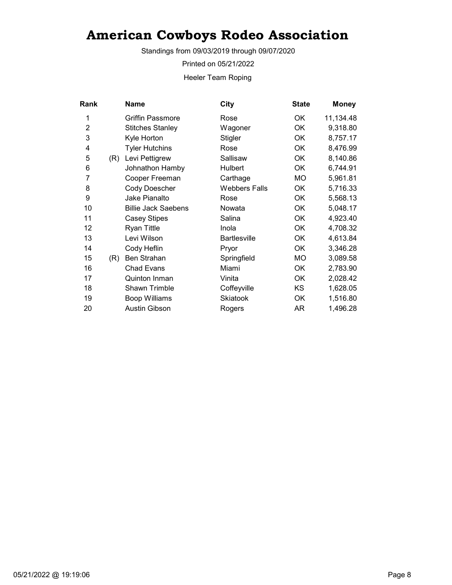Standings from 09/03/2019 through 09/07/2020

Printed on 05/21/2022

Heeler Team Roping

| Rank           |     | <b>Name</b>                | City                 | <b>State</b> | <b>Money</b> |
|----------------|-----|----------------------------|----------------------|--------------|--------------|
| 1              |     | <b>Griffin Passmore</b>    | Rose                 | ОK           | 11,134.48    |
| $\overline{2}$ |     | <b>Stitches Stanley</b>    | Wagoner              | ОK           | 9,318.80     |
| 3              |     | Kyle Horton                | Stigler              | OK           | 8,757.17     |
| 4              |     | <b>Tyler Hutchins</b>      | Rose                 | <b>OK</b>    | 8,476.99     |
| 5              | (R) | Levi Pettigrew             | Sallisaw             | OK           | 8,140.86     |
| 6              |     | Johnathon Hamby            | Hulbert              | OK           | 6,744.91     |
| 7              |     | Cooper Freeman             | Carthage             | МO           | 5,961.81     |
| 8              |     | Cody Doescher              | <b>Webbers Falls</b> | OK           | 5,716.33     |
| 9              |     | Jake Pianalto              | Rose                 | OK           | 5,568.13     |
| 10             |     | <b>Billie Jack Saebens</b> | Nowata               | OK           | 5,048.17     |
| 11             |     | <b>Casey Stipes</b>        | Salina               | ОK           | 4,923.40     |
| 12             |     | <b>Ryan Tittle</b>         | Inola                | ОK           | 4,708.32     |
| 13             |     | Levi Wilson                | <b>Bartlesville</b>  | OK           | 4,613.84     |
| 14             |     | Cody Heflin                | Pryor                | OK           | 3,346.28     |
| 15             | (R) | Ben Strahan                | Springfield          | MO           | 3,089.58     |
| 16             |     | <b>Chad Evans</b>          | Miami                | ОK           | 2,783.90     |
| 17             |     | Quinton Inman              | Vinita               | <b>OK</b>    | 2,028.42     |
| 18             |     | Shawn Trimble              | Coffeyville          | KS           | 1,628.05     |
| 19             |     | <b>Boop Williams</b>       | Skiatook             | OK           | 1,516.80     |
| 20             |     | Austin Gibson              | Rogers               | AR           | 1,496.28     |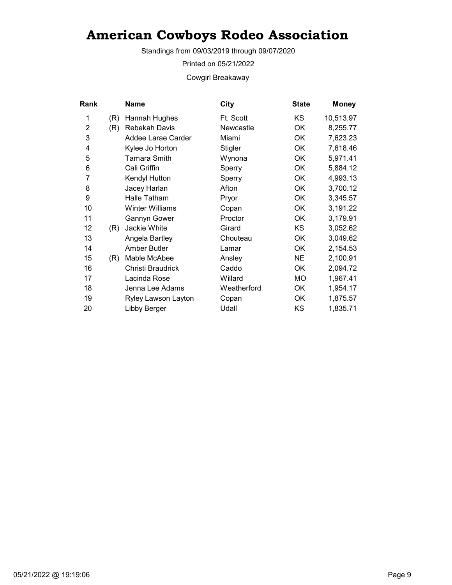Standings from 09/03/2019 through 09/07/2020

Printed on 05/21/2022

Cowgirl Breakaway

| Rank |     | Name                   | <b>City</b> | <b>State</b> | <b>Money</b> |
|------|-----|------------------------|-------------|--------------|--------------|
| 1    | (R) | Hannah Hughes          | Ft. Scott   | KS           | 10,513.97    |
| 2    | (R) | <b>Rebekah Davis</b>   | Newcastle   | OK           | 8,255.77     |
| 3    |     | Addee Larae Carder     | Miami       | OK           | 7,623.23     |
| 4    |     | Kylee Jo Horton        | Stigler     | OK           | 7,618.46     |
| 5    |     | Tamara Smith           | Wynona      | OK           | 5,971.41     |
| 6    |     | Cali Griffin           | Sperry      | OK           | 5,884.12     |
| 7    |     | Kendyl Hutton          | Sperry      | OK           | 4,993.13     |
| 8    |     | Jacey Harlan           | Afton       | OK           | 3,700.12     |
| 9    |     | Halle Tatham           | Pryor       | OK           | 3,345.57     |
| 10   |     | <b>Winter Williams</b> | Copan       | OK           | 3,191.22     |
| 11   |     | Gannyn Gower           | Proctor     | OK           | 3,179.91     |
| 12   | (R) | Jackie White           | Girard      | <b>KS</b>    | 3,052.62     |
| 13   |     | Angela Bartley         | Chouteau    | OK           | 3,049.62     |
| 14   |     | Amber Butler           | Lamar       | OK           | 2,154.53     |
| 15   | (R) | Mable McAbee           | Ansley      | <b>NE</b>    | 2,100.91     |
| 16   |     | Christi Braudrick      | Caddo       | OK           | 2,094.72     |
| 17   |     | Lacinda Rose           | Willard     | MO           | 1,967.41     |
| 18   |     | Jenna Lee Adams        | Weatherford | OK           | 1,954.17     |
| 19   |     | Ryley Lawson Layton    | Copan       | OK           | 1,875.57     |
| 20   |     | Libby Berger           | Udall       | KS           | 1,835.71     |